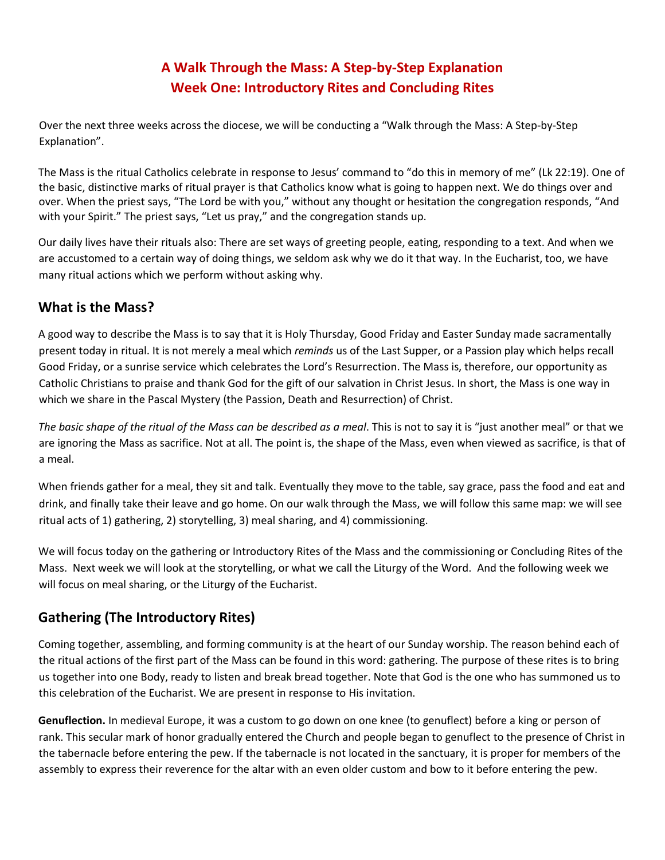## **A Walk Through the Mass: A Step-by-Step Explanation Week One: Introductory Rites and Concluding Rites**

Over the next three weeks across the diocese, we will be conducting a "Walk through the Mass: A Step-by-Step Explanation".

The Mass is the ritual Catholics celebrate in response to Jesus' command to "do this in memory of me" (Lk 22:19). One of the basic, distinctive marks of ritual prayer is that Catholics know what is going to happen next. We do things over and over. When the priest says, "The Lord be with you," without any thought or hesitation the congregation responds, "And with your Spirit." The priest says, "Let us pray," and the congregation stands up.

Our daily lives have their rituals also: There are set ways of greeting people, eating, responding to a text. And when we are accustomed to a certain way of doing things, we seldom ask why we do it that way. In the Eucharist, too, we have many ritual actions which we perform without asking why.

## **What is the Mass?**

A good way to describe the Mass is to say that it is Holy Thursday, Good Friday and Easter Sunday made sacramentally present today in ritual. It is not merely a meal which *reminds* us of the Last Supper, or a Passion play which helps recall Good Friday, or a sunrise service which celebrates the Lord's Resurrection. The Mass is, therefore, our opportunity as Catholic Christians to praise and thank God for the gift of our salvation in Christ Jesus. In short, the Mass is one way in which we share in the Pascal Mystery (the Passion, Death and Resurrection) of Christ.

*The basic shape of the ritual of the Mass can be described as a meal*. This is not to say it is "just another meal" or that we are ignoring the Mass as sacrifice. Not at all. The point is, the shape of the Mass, even when viewed as sacrifice, is that of a meal.

When friends gather for a meal, they sit and talk. Eventually they move to the table, say grace, pass the food and eat and drink, and finally take their leave and go home. On our walk through the Mass, we will follow this same map: we will see ritual acts of 1) gathering, 2) storytelling, 3) meal sharing, and 4) commissioning.

We will focus today on the gathering or Introductory Rites of the Mass and the commissioning or Concluding Rites of the Mass. Next week we will look at the storytelling, or what we call the Liturgy of the Word. And the following week we will focus on meal sharing, or the Liturgy of the Eucharist.

## **Gathering (The Introductory Rites)**

Coming together, assembling, and forming community is at the heart of our Sunday worship. The reason behind each of the ritual actions of the first part of the Mass can be found in this word: gathering. The purpose of these rites is to bring us together into one Body, ready to listen and break bread together. Note that God is the one who has summoned us to this celebration of the Eucharist. We are present in response to His invitation.

**Genuflection.** In medieval Europe, it was a custom to go down on one knee (to genuflect) before a king or person of rank. This secular mark of honor gradually entered the Church and people began to genuflect to the presence of Christ in the tabernacle before entering the pew. If the tabernacle is not located in the sanctuary, it is proper for members of the assembly to express their reverence for the altar with an even older custom and bow to it before entering the pew.